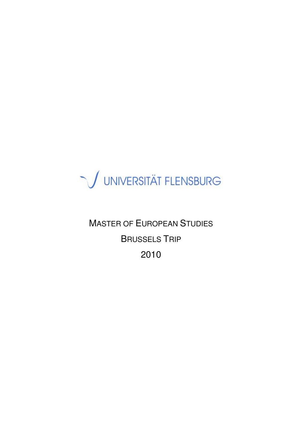

MASTER OF EUROPEAN STUDIES BRUSSELS TRIP 2010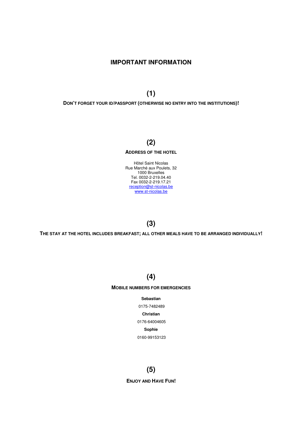## IMPORTANT INFORMATION

(1)

DON'T FORGET YOUR ID/PASSPORT (OTHERWISE NO ENTRY INTO THE INSTITUTIONS)!

# (2)

#### ADDRESS OF THE HOTEL

Hôtel Saint Nicolas Rue Marché aux Poulets, 32 1000 Bruxelles Tel. 0032-2-219.04.40 Fax 0032-2-219.17.21 reception@st-nicolas.be www.st-nicolas.be

# (3)

THE STAY AT THE HOTEL INCLUDES BREAKFAST; ALL OTHER MEALS HAVE TO BE ARRANGED INDIVIDUALLY!

# (4)

#### MOBILE NUMBERS FOR EMERGENCIES

Sebastian

 0175-7482489 Christian

0176-64004605

#### Sophie

0160-99153123

# (5)

ENJOY AND HAVE FUN!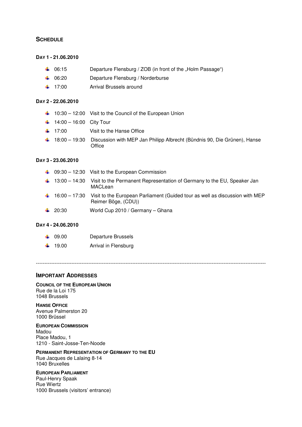## **SCHEDULE**

## DAY 1 - 21.06.2010

- ↓ 06:15 Departure Flensburg / ZOB (in front of the "Holm Passage")
- 4 06:20 Departure Flensburg / Norderburse
- <sup>1</sup> 17:00 Arrival Brussels around

### DAY 2 - 22.06.2010

- 10:30 12:00 Visit to the Council of the European Union
- $14:00 16:00$  City Tour
- $\frac{1}{2}$  17:00 Visit to the Hanse Office
- 18:00 19:30 Discussion with MEP Jan Philipp Albrecht (Bündnis 90, Die Grünen), Hanse **Office**

### DAY 3 - 23.06.2010

|                   | $\downarrow$ 09:30 – 12:30 Visit to the European Commission                                                                     |
|-------------------|---------------------------------------------------------------------------------------------------------------------------------|
|                   | $\downarrow$ 13:00 – 14:30 Visit to the Permanent Representation of Germany to the EU, Speaker Jan<br>MACLean                   |
|                   | $\frac{1}{2}$ 16:00 – 17:30 Visit to the European Parliament (Guided tour as well as discussion with MEP<br>Reimer Böge, (CDU)) |
| $\frac{1}{20.30}$ | World Cup 2010 / Germany - Ghana                                                                                                |

### DAY 4 - 24.06.2010

| $\downarrow 09.00$  | Departure Brussels   |
|---------------------|----------------------|
| $\frac{1}{2}$ 19.00 | Arrival in Flensburg |

----------------------------------------------------------------------------------------------------------------------------------------

## IMPORTANT ADDRESSES

#### COUNCIL OF THE EUROPEAN UNION Rue de la Loi 175

1048 Brussels

HANSE OFFICE Avenue Palmerston 20 1000 Brüssel

#### EUROPEAN COMMISSION

Madou Place Madou, 1 1210 - Saint-Josse-Ten-Noode

### PERMANENT REPRESENTATION OF GERMANY TO THE EU

Rue Jacques de Lalaing 8-14 1040 Bruxelles

# EUROPEAN PARLIAMENT

Paul-Henry Spaak Rue Wiertz 1000 Brussels (visitors' entrance)